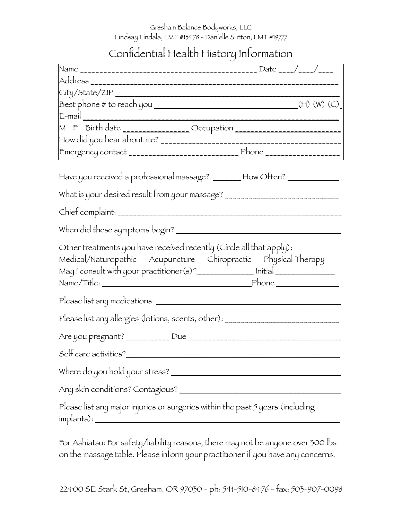Gresham Balance Bodyworks, LLC Lindsay Lindala, LMT #13478 - Danielle Sutton, LMT #19777

Confidential Health History Information

| City/State/ZIP                                                                                                                                                                                                             |  |
|----------------------------------------------------------------------------------------------------------------------------------------------------------------------------------------------------------------------------|--|
|                                                                                                                                                                                                                            |  |
|                                                                                                                                                                                                                            |  |
| M F Birth date _______________________Occupation _______________________________                                                                                                                                           |  |
|                                                                                                                                                                                                                            |  |
|                                                                                                                                                                                                                            |  |
| Have you received a professional massage? _______ How Often? _____________<br>What is your desired result from your massage? _________________________________                                                             |  |
|                                                                                                                                                                                                                            |  |
|                                                                                                                                                                                                                            |  |
|                                                                                                                                                                                                                            |  |
| Other treatments you have received recently (Circle all that apply):<br>Medical/Naturopathic Acupuncture Chiropractic Physical Therapy<br>May I consult with your practitioner(s)? _______________ Initial _______________ |  |
|                                                                                                                                                                                                                            |  |
| Please list any allergies (lotions, scents, other): ____________________________                                                                                                                                           |  |
|                                                                                                                                                                                                                            |  |
| Self care activities?                                                                                                                                                                                                      |  |
|                                                                                                                                                                                                                            |  |
|                                                                                                                                                                                                                            |  |
| Please list any major injuries or surgeries within the past 5 years (including<br>$implants$ :                                                                                                                             |  |
|                                                                                                                                                                                                                            |  |

For Ashiatsu: For safety/liability reasons, there may not be anyone over 300 lbs on the massage table. Please inform your practitioner if you have any concerns.